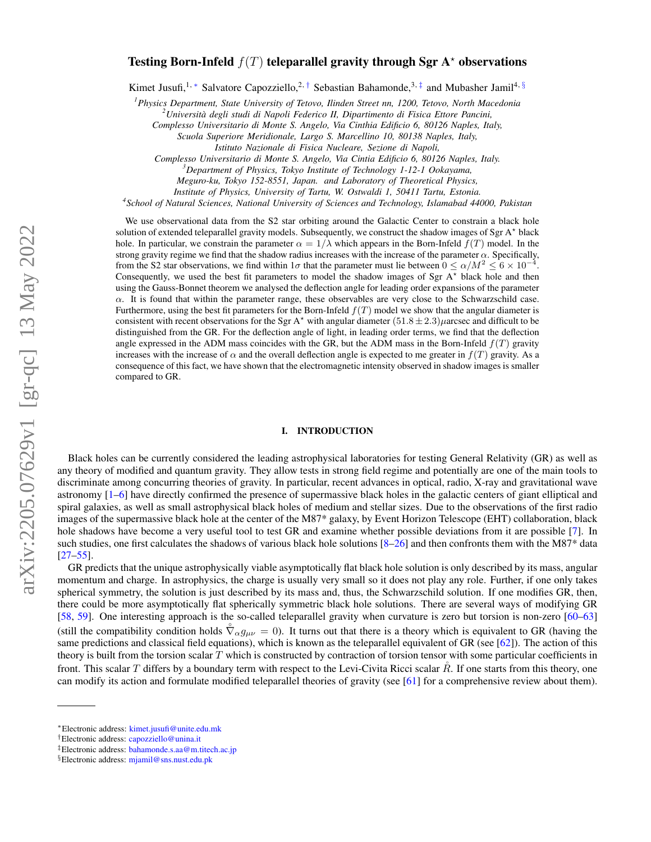# Testing Born-Infeld  $f(T)$  teleparallel gravity through Sgr A<sup>\*</sup> observations

Kimet Jusufi,<sup>1, \*</sup> Salvatore Capozziello,<sup>2, [†](#page-0-1)</sup> Sebastian Bahamonde,<sup>3, [‡](#page-0-2)</sup> and Mubasher Jamil<sup>4, [§](#page-0-3)</sup>

*<sup>1</sup>Physics Department, State University of Tetovo, Ilinden Street nn, 1200, Tetovo, North Macedonia*

*<sup>2</sup>Universita degli studi di Napoli Federico II, Dipartimento di Fisica Ettore Pancini, `*

*Complesso Universitario di Monte S. Angelo, Via Cinthia Edificio 6, 80126 Naples, Italy,*

*Scuola Superiore Meridionale, Largo S. Marcellino 10, 80138 Naples, Italy,*

*Istituto Nazionale di Fisica Nucleare, Sezione di Napoli,*

*Complesso Universitario di Monte S. Angelo, Via Cintia Edificio 6, 80126 Naples, Italy.*

*<sup>3</sup>Department of Physics, Tokyo Institute of Technology 1-12-1 Ookayama,*

*Meguro-ku, Tokyo 152-8551, Japan. and Laboratory of Theoretical Physics,*

*Institute of Physics, University of Tartu, W. Ostwaldi 1, 50411 Tartu, Estonia.*

*4 School of Natural Sciences, National University of Sciences and Technology, Islamabad 44000, Pakistan*

We use observational data from the S2 star orbiting around the Galactic Center to constrain a black hole solution of extended teleparallel gravity models. Subsequently, we construct the shadow images of Sgr A<sup>\*</sup> black hole. In particular, we constrain the parameter  $\alpha = 1/\lambda$  which appears in the Born-Infeld  $f(T)$  model. In the strong gravity regime we find that the shadow radius increases with the increase of the parameter  $\alpha$ . Specifically, from the S2 star observations, we find within  $1\sigma$  that the parameter must lie between  $0 \le \alpha/M^2 \le 6 \times 10^{-4}$ . Consequently, we used the best fit parameters to model the shadow images of Sgr  $A^*$  black hole and then using the Gauss-Bonnet theorem we analysed the deflection angle for leading order expansions of the parameter  $\alpha$ . It is found that within the parameter range, these observables are very close to the Schwarzschild case. Furthermore, using the best fit parameters for the Born-Infeld  $f(T)$  model we show that the angular diameter is consistent with recent observations for the Sgr A<sup>\*</sup> with angular diameter  $(51.8 \pm 2.3)\mu$ arcsec and difficult to be distinguished from the GR. For the deflection angle of light, in leading order terms, we find that the deflection angle expressed in the ADM mass coincides with the GR, but the ADM mass in the Born-Infeld  $f(T)$  gravity increases with the increase of  $\alpha$  and the overall deflection angle is expected to me greater in  $f(T)$  gravity. As a consequence of this fact, we have shown that the electromagnetic intensity observed in shadow images is smaller compared to GR.

#### I. INTRODUCTION

Black holes can be currently considered the leading astrophysical laboratories for testing General Relativity (GR) as well as any theory of modified and quantum gravity. They allow tests in strong field regime and potentially are one of the main tools to discriminate among concurring theories of gravity. In particular, recent advances in optical, radio, X-ray and gravitational wave astronomy [\[1–](#page-9-0)[6\]](#page-9-1) have directly confirmed the presence of supermassive black holes in the galactic centers of giant elliptical and spiral galaxies, as well as small astrophysical black holes of medium and stellar sizes. Due to the observations of the first radio images of the supermassive black hole at the center of the M87\* galaxy, by Event Horizon Telescope (EHT) collaboration, black hole shadows have become a very useful tool to test GR and examine whether possible deviations from it are possible [\[7\]](#page-10-0). In such studies, one first calculates the shadows of various black hole solutions [\[8–](#page-10-1)[26\]](#page-10-2) and then confronts them with the M87\* data [\[27](#page-10-3)[–55\]](#page-10-4).

GR predicts that the unique astrophysically viable asymptotically flat black hole solution is only described by its mass, angular momentum and charge. In astrophysics, the charge is usually very small so it does not play any role. Further, if one only takes spherical symmetry, the solution is just described by its mass and, thus, the Schwarzschild solution. If one modifies GR, then, there could be more asymptotically flat spherically symmetric black hole solutions. There are several ways of modifying GR [\[58,](#page-10-5) [59\]](#page-10-6). One interesting approach is the so-called teleparallel gravity when curvature is zero but torsion is non-zero [\[60–](#page-10-7)[63\]](#page-10-8) (still the compatibility condition holds  $\hat{\nabla}_{\alpha} g_{\mu\nu} = 0$ ). It turns out that there is a theory which is equivalent to GR (having the same predictions and classical field equations), which is known as the teleparallel equivalent of GR (see [\[62\]](#page-10-9)). The action of this theory is built from the torsion scalar  $T$  which is constructed by contraction of torsion tensor with some particular coefficients in front. This scalar T differs by a boundary term with respect to the Levi-Civita Ricci scalar  $\hat{R}$ . If one starts from this theory, one can modify its action and formulate modified teleparallel theories of gravity (see [\[61\]](#page-10-10) for a comprehensive review about them).

<span id="page-0-0"></span><sup>∗</sup>Electronic address: [kimet.jusufi@unite.edu.mk](mailto:kimet.jusufi@unite.edu.mk)

<span id="page-0-1"></span><sup>†</sup>Electronic address: [capozziello@unina.it](mailto:capozziello@unina.it)

<span id="page-0-2"></span><sup>‡</sup>Electronic address: [bahamonde.s.aa@m.titech.ac.jp](mailto:bahamonde.s.aa@m.titech.ac.jp)

<span id="page-0-3"></span><sup>§</sup>Electronic address: [mjamil@sns.nust.edu.pk](mailto:mjamil@sns.nust.edu.pk)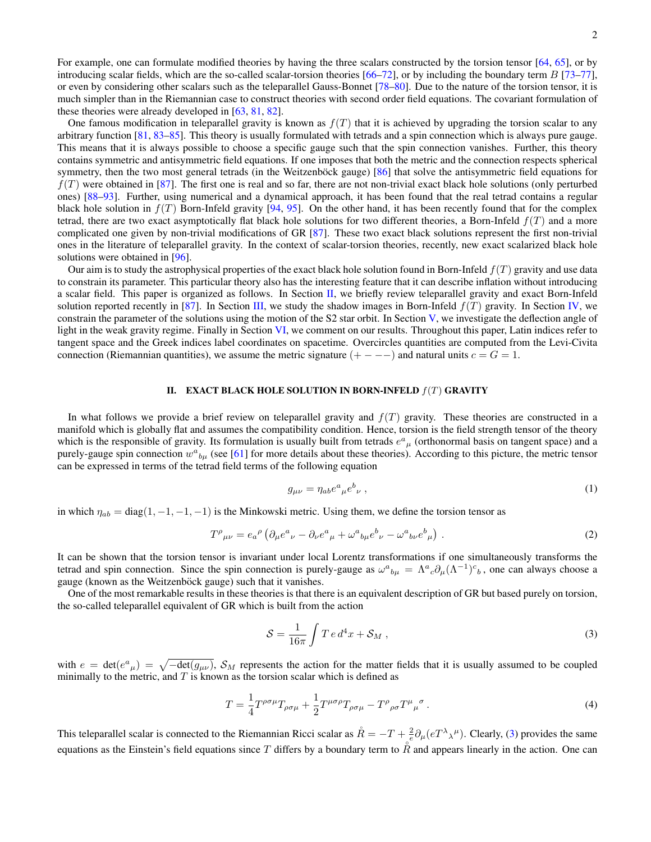2

For example, one can formulate modified theories by having the three scalars constructed by the torsion tensor [\[64,](#page-10-11) [65\]](#page-10-12), or by introducing scalar fields, which are the so-called scalar-torsion theories  $[66–72]$  $[66–72]$ , or by including the boundary term  $B$   $[73–77]$  $[73–77]$ , or even by considering other scalars such as the teleparallel Gauss-Bonnet [\[78](#page-11-4)[–80\]](#page-11-5). Due to the nature of the torsion tensor, it is much simpler than in the Riemannian case to construct theories with second order field equations. The covariant formulation of these theories were already developed in [\[63,](#page-10-8) [81,](#page-11-6) [82\]](#page-11-7).

One famous modification in teleparallel gravity is known as  $f(T)$  that it is achieved by upgrading the torsion scalar to any arbitrary function [\[81,](#page-11-6) [83](#page-11-8)[–85\]](#page-11-9). This theory is usually formulated with tetrads and a spin connection which is always pure gauge. This means that it is always possible to choose a specific gauge such that the spin connection vanishes. Further, this theory contains symmetric and antisymmetric field equations. If one imposes that both the metric and the connection respects spherical symmetry, then the two most general tetrads (in the Weitzenböck gauge) [[86\]](#page-11-10) that solve the antisymmetric field equations for  $f(T)$  were obtained in [\[87\]](#page-11-11). The first one is real and so far, there are not non-trivial exact black hole solutions (only perturbed ones) [\[88](#page-11-12)[–93\]](#page-11-13). Further, using numerical and a dynamical approach, it has been found that the real tetrad contains a regular black hole solution in  $f(T)$  Born-Infeld gravity [\[94,](#page-11-14) [95\]](#page-11-15). On the other hand, it has been recently found that for the complex tetrad, there are two exact asymptotically flat black hole solutions for two different theories, a Born-Infeld  $f(T)$  and a more complicated one given by non-trivial modifications of GR [\[87\]](#page-11-11). These two exact black solutions represent the first non-trivial ones in the literature of teleparallel gravity. In the context of scalar-torsion theories, recently, new exact scalarized black hole solutions were obtained in [\[96\]](#page-11-16).

Our aim is to study the astrophysical properties of the exact black hole solution found in Born-Infeld  $f(T)$  gravity and use data to constrain its parameter. This particular theory also has the interesting feature that it can describe inflation without introducing a scalar field. This paper is organized as follows. In Section [II,](#page-1-0) we briefly review teleparallel gravity and exact Born-Infeld solution reported recently in [\[87\]](#page-11-11). In Section [III,](#page-3-0) we study the shadow images in Born-Infeld  $f(T)$  gravity. In Section [IV,](#page-5-0) we constrain the parameter of the solutions using the motion of the S2 star orbit. In Section [V,](#page-7-0) we investigate the deflection angle of light in the weak gravity regime. Finally in Section [VI,](#page-9-2) we comment on our results. Throughout this paper, Latin indices refer to tangent space and the Greek indices label coordinates on spacetime. Overcircles quantities are computed from the Levi-Civita connection (Riemannian quantities), we assume the metric signature  $(+ - - -)$  and natural units  $c = G = 1$ .

### <span id="page-1-0"></span>II. EXACT BLACK HOLE SOLUTION IN BORN-INFELD  $f(T)$  GRAVITY

In what follows we provide a brief review on teleparallel gravity and  $f(T)$  gravity. These theories are constructed in a manifold which is globally flat and assumes the compatibility condition. Hence, torsion is the field strength tensor of the theory which is the responsible of gravity. Its formulation is usually built from tetrads  $e^a{}_\mu$  (orthonormal basis on tangent space) and a purely-gauge spin connection  $w^a{}_{b\mu}$  (see [\[61\]](#page-10-10) for more details about these theories). According to this picture, the metric tensor can be expressed in terms of the tetrad field terms of the following equation

$$
g_{\mu\nu} = \eta_{ab} e^a{}_{\mu} e^b{}_{\nu} \,, \tag{1}
$$

in which  $\eta_{ab} = \text{diag}(1, -1, -1, -1)$  is the Minkowski metric. Using them, we define the torsion tensor as

$$
T^{\rho}{}_{\mu\nu} = e_{a}{}^{\rho} \left( \partial_{\mu} e^{a}{}_{\nu} - \partial_{\nu} e^{a}{}_{\mu} + \omega^{a}{}_{b\mu} e^{b}{}_{\nu} - \omega^{a}{}_{b\nu} e^{b}{}_{\mu} \right) . \tag{2}
$$

It can be shown that the torsion tensor is invariant under local Lorentz transformations if one simultaneously transforms the tetrad and spin connection. Since the spin connection is purely-gauge as  $\omega^a{}_{b\mu} = \Lambda^a{}_c \partial_\mu (\Lambda^{-1})^c{}_b$ , one can always choose a gauge (known as the Weitzenböck gauge) such that it vanishes.

One of the most remarkable results in these theories is that there is an equivalent description of GR but based purely on torsion, the so-called teleparallel equivalent of GR which is built from the action

<span id="page-1-1"></span>
$$
S = \frac{1}{16\pi} \int T e d^4 x + S_M , \qquad (3)
$$

with  $e = \det(e^a{}_\mu) = \sqrt{-\det(g_{\mu\nu})}$ ,  $\mathcal{S}_M$  represents the action for the matter fields that it is usually assumed to be coupled minimally to the metric, and  $T$  is known as the torsion scalar which is defined as

$$
T = \frac{1}{4} T^{\rho\sigma\mu} T_{\rho\sigma\mu} + \frac{1}{2} T^{\mu\sigma\rho} T_{\rho\sigma\mu} - T^{\rho}{}_{\rho\sigma} T^{\mu}{}_{\mu}{}^{\sigma} \,. \tag{4}
$$

This teleparallel scalar is connected to the Riemannian Ricci scalar as  $\mathring{R} = -T + \frac{2}{\epsilon} \partial_{\mu} (e T^{\lambda}{}_{\lambda}{}^{\mu})$ . Clearly, [\(3\)](#page-1-1) provides the same equations as the Einstein's field equations since T differs by a boundary term to  $\hat{R}$  and appears linearly in the action. One can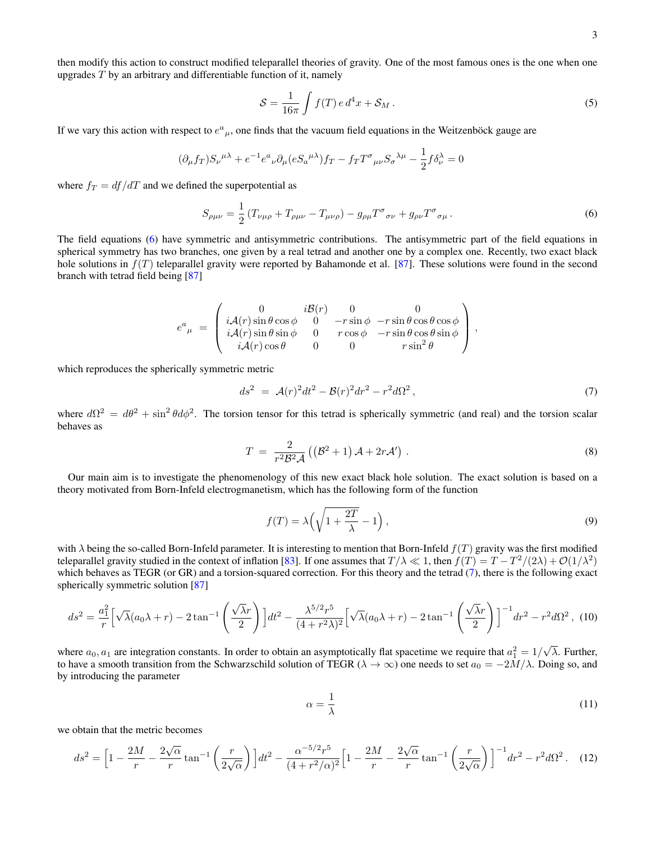then modify this action to construct modified teleparallel theories of gravity. One of the most famous ones is the one when one upgrades  $T$  by an arbitrary and differentiable function of it, namely

$$
S = \frac{1}{16\pi} \int f(T) e d^4 x + S_M.
$$
\n(5)

If we vary this action with respect to  $e^a{}_\mu$ , one finds that the vacuum field equations in the Weitzenböck gauge are

<span id="page-2-0"></span>
$$
(\partial_{\mu}f_T)S_{\nu}^{\ \mu\lambda} + e^{-1}e^{a}{}_{\nu}\partial_{\mu}(eS_{a}^{\ \mu\lambda})f_T - f_T T^{\sigma}{}_{\mu\nu}S_{\sigma}^{\ \lambda\mu} - \frac{1}{2}f\delta^{\lambda}_{\nu} = 0
$$

where  $f_T = df/dT$  and we defined the superpotential as

$$
S_{\rho\mu\nu} = \frac{1}{2} \left( T_{\nu\mu\rho} + T_{\rho\mu\nu} - T_{\mu\nu\rho} \right) - g_{\rho\mu} T^{\sigma}{}_{\sigma\nu} + g_{\rho\nu} T^{\sigma}{}_{\sigma\mu} \,. \tag{6}
$$

The field equations [\(6\)](#page-2-0) have symmetric and antisymmetric contributions. The antisymmetric part of the field equations in spherical symmetry has two branches, one given by a real tetrad and another one by a complex one. Recently, two exact black hole solutions in  $f(T)$  teleparallel gravity were reported by Bahamonde et al. [\[87\]](#page-11-11). These solutions were found in the second branch with tetrad field being [\[87\]](#page-11-11)

<span id="page-2-1"></span>
$$
e^{a}_{\ \mu}\ =\ \left(\begin{array}{cccc} 0&i\mathcal{B}(r)&0&0\\ i\mathcal{A}(r)\sin\theta\cos\phi&0&-r\sin\phi&-r\sin\theta\cos\theta\cos\phi\\ i\mathcal{A}(r)\sin\theta\sin\phi&0&r\cos\phi&-r\sin\theta\cos\theta\sin\phi\\ i\mathcal{A}(r)\cos\theta&0&0&r\sin^{2}\theta\end{array}\right)\,,
$$

which reproduces the spherically symmetric metric

$$
ds^2 = \mathcal{A}(r)^2 dt^2 - \mathcal{B}(r)^2 dr^2 - r^2 d\Omega^2, \qquad (7)
$$

where  $d\Omega^2 = d\theta^2 + \sin^2 \theta d\phi^2$ . The torsion tensor for this tetrad is spherically symmetric (and real) and the torsion scalar behaves as

$$
T = \frac{2}{r^2 \mathcal{B}^2 \mathcal{A}} \left( \left( \mathcal{B}^2 + 1 \right) \mathcal{A} + 2r \mathcal{A}' \right) . \tag{8}
$$

Our main aim is to investigate the phenomenology of this new exact black hole solution. The exact solution is based on a theory motivated from Born-Infeld electrogmanetism, which has the following form of the function

$$
f(T) = \lambda \left( \sqrt{1 + \frac{2T}{\lambda}} - 1 \right),\tag{9}
$$

with  $\lambda$  being the so-called Born-Infeld parameter. It is interesting to mention that Born-Infeld  $f(T)$  gravity was the first modified teleparallel gravity studied in the context of inflation [\[83\]](#page-11-8). If one assumes that  $T/\lambda \ll 1$ , then  $f(T) = T - T^2/(2\lambda) + \mathcal{O}(1/\lambda^2)$ which behaves as TEGR (or GR) and a torsion-squared correction. For this theory and the tetrad [\(7\)](#page-2-1), there is the following exact spherically symmetric solution [\[87\]](#page-11-11)

$$
ds^2 = \frac{a_1^2}{r} \left[ \sqrt{\lambda} (a_0 \lambda + r) - 2 \tan^{-1} \left( \frac{\sqrt{\lambda} r}{2} \right) \right] dt^2 - \frac{\lambda^{5/2} r^5}{(4 + r^2 \lambda)^2} \left[ \sqrt{\lambda} (a_0 \lambda + r) - 2 \tan^{-1} \left( \frac{\sqrt{\lambda} r}{2} \right) \right]^{-1} dr^2 - r^2 d\Omega^2, \tag{10}
$$

where  $a_0, a_1$  are integration constants. In order to obtain an asymptotically flat spacetime we require that  $a_1^2 = 1/$ λ. Further, to have a smooth transition from the Schwarzschild solution of TEGR ( $\lambda \to \infty$ ) one needs to set  $a_0 = -2M/\lambda$ . Doing so, and by introducing the parameter

$$
\alpha = \frac{1}{\lambda} \tag{11}
$$

we obtain that the metric becomes

<span id="page-2-2"></span>
$$
ds^{2} = \left[1 - \frac{2M}{r} - \frac{2\sqrt{\alpha}}{r}\tan^{-1}\left(\frac{r}{2\sqrt{\alpha}}\right)\right]dt^{2} - \frac{\alpha^{-5/2}r^{5}}{(4+r^{2}/\alpha)^{2}}\left[1 - \frac{2M}{r} - \frac{2\sqrt{\alpha}}{r}\tan^{-1}\left(\frac{r}{2\sqrt{\alpha}}\right)\right]^{-1}dr^{2} - r^{2}d\Omega^{2}.
$$
 (12)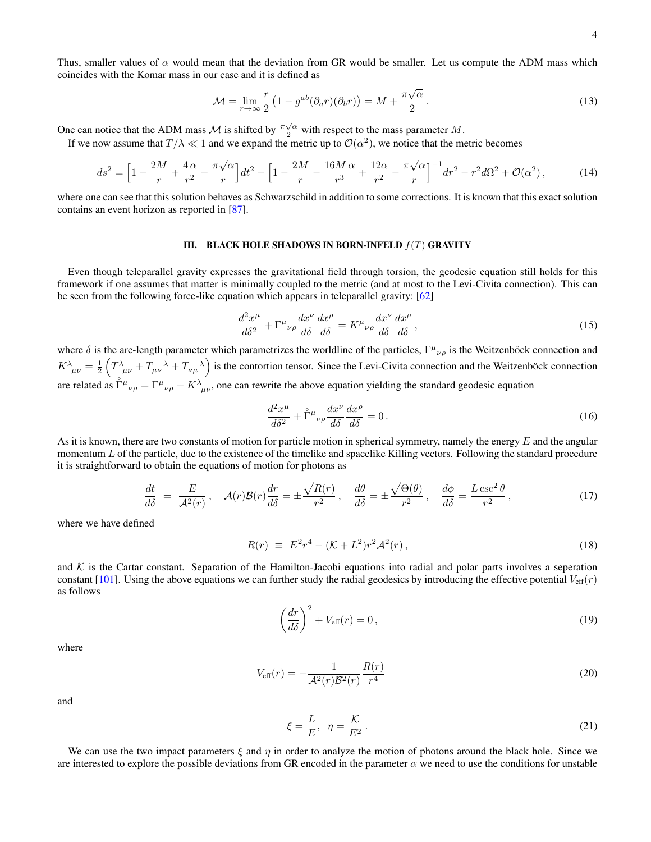<span id="page-3-4"></span>
$$
\mathcal{M} = \lim_{r \to \infty} \frac{r}{2} \left( 1 - g^{ab} (\partial_a r)(\partial_b r) \right) = M + \frac{\pi \sqrt{\alpha}}{2} \,. \tag{13}
$$

One can notice that the ADM mass  $\mathcal M$  is shifted by  $\frac{\pi\sqrt{\alpha}}{2}$  with respect to the mass parameter  $M$ .

If we now assume that  $T/\lambda \ll 1$  and we expand the metric up to  $\mathcal{O}(\alpha^2)$ , we notice that the metric becomes

<span id="page-3-3"></span>
$$
ds^{2} = \left[1 - \frac{2M}{r} + \frac{4\alpha}{r^{2}} - \frac{\pi\sqrt{\alpha}}{r}\right]dt^{2} - \left[1 - \frac{2M}{r} - \frac{16M\alpha}{r^{3}} + \frac{12\alpha}{r^{2}} - \frac{\pi\sqrt{\alpha}}{r}\right]^{-1}dr^{2} - r^{2}d\Omega^{2} + \mathcal{O}(\alpha^{2}),\tag{14}
$$

where one can see that this solution behaves as Schwarzschild in addition to some corrections. It is known that this exact solution contains an event horizon as reported in [\[87\]](#page-11-11).

#### <span id="page-3-0"></span>III. BLACK HOLE SHADOWS IN BORN-INFELD  $f(T)$  GRAVITY

Even though teleparallel gravity expresses the gravitational field through torsion, the geodesic equation still holds for this framework if one assumes that matter is minimally coupled to the metric (and at most to the Levi-Civita connection). This can be seen from the following force-like equation which appears in teleparallel gravity: [\[62\]](#page-10-9)

$$
\frac{d^2x^{\mu}}{d\delta^2} + \Gamma^{\mu}{}_{\nu\rho}\frac{dx^{\nu}}{d\delta}\frac{dx^{\rho}}{d\delta} = K^{\mu}{}_{\nu\rho}\frac{dx^{\nu}}{d\delta}\frac{dx^{\rho}}{d\delta},\tag{15}
$$

where  $\delta$  is the arc-length parameter which parametrizes the worldline of the particles,  $\Gamma^{\mu}{}_{\nu\rho}$  is the Weitzenböck connection and  $K^{\lambda}_{\mu\nu} = \frac{1}{2} \left( T^{\lambda}_{\mu\nu} + T_{\mu\nu}^{\ \lambda} + T_{\nu\mu}^{\ \lambda} \right)$  is the contortion tensor. Since the Levi-Civita connection and the Weitzenböck connection are related as  $\mathring{\Gamma}^{\mu}{}_{\nu\rho} = \Gamma^{\mu}{}_{\nu\rho} - K^{\lambda}{}_{\mu\nu}$ , one can rewrite the above equation yielding the standard geodesic equation

$$
\frac{d^2x^{\mu}}{d\delta^2} + \mathring{\Gamma}^{\mu}{}_{\nu\rho}\frac{dx^{\nu}}{d\delta}\frac{dx^{\rho}}{d\delta} = 0.
$$
 (16)

As it is known, there are two constants of motion for particle motion in spherical symmetry, namely the energy  $E$  and the angular momentum L of the particle, due to the existence of the timelike and spacelike Killing vectors. Following the standard procedure it is straightforward to obtain the equations of motion for photons as

<span id="page-3-1"></span>
$$
\frac{dt}{d\delta} = \frac{E}{\mathcal{A}^2(r)}, \quad \mathcal{A}(r)\mathcal{B}(r)\frac{dr}{d\delta} = \pm \frac{\sqrt{R(r)}}{r^2}, \quad \frac{d\theta}{d\delta} = \pm \frac{\sqrt{\Theta(\theta)}}{r^2}, \quad \frac{d\phi}{d\delta} = \frac{L\csc^2\theta}{r^2},\tag{17}
$$

where we have defined

$$
R(r) \equiv E^2 r^4 - (\mathcal{K} + L^2) r^2 \mathcal{A}^2(r) \,, \tag{18}
$$

and  $K$  is the Cartar constant. Separation of the Hamilton-Jacobi equations into radial and polar parts involves a seperation constant [\[101\]](#page-11-17). Using the above equations we can further study the radial geodesics by introducing the effective potential  $V_{\text{eff}}(r)$ as follows

<span id="page-3-2"></span>
$$
\left(\frac{dr}{d\delta}\right)^2 + V_{\text{eff}}(r) = 0\,,\tag{19}
$$

where

$$
V_{\text{eff}}(r) = -\frac{1}{\mathcal{A}^2(r)\mathcal{B}^2(r)} \frac{R(r)}{r^4}
$$
 (20)

and

$$
\xi = \frac{L}{E}, \quad \eta = \frac{\mathcal{K}}{E^2} \,. \tag{21}
$$

We can use the two impact parameters  $\xi$  and  $\eta$  in order to analyze the motion of photons around the black hole. Since we are interested to explore the possible deviations from GR encoded in the parameter  $\alpha$  we need to use the conditions for unstable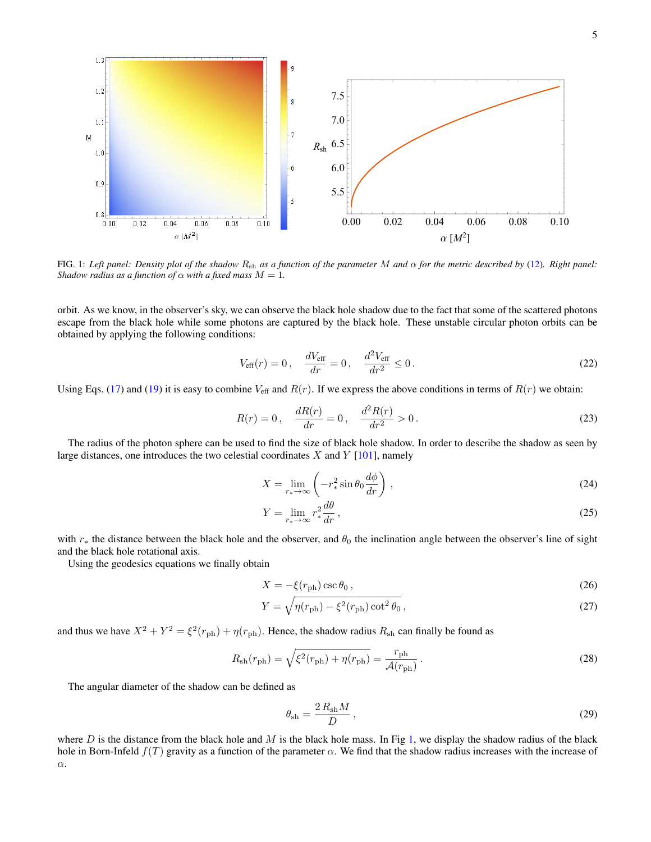

<span id="page-4-0"></span>FIG. 1: *Left panel: Density plot of the shadow* Rsh *as a function of the parameter* M *and* α *for the metric described by* [\(12\)](#page-2-2)*. Right panel: Shadow radius as a function of*  $\alpha$  *with a fixed mass*  $M = 1$ *.* 

orbit. As we know, in the observer's sky, we can observe the black hole shadow due to the fact that some of the scattered photons escape from the black hole while some photons are captured by the black hole. These unstable circular photon orbits can be obtained by applying the following conditions:

$$
V_{\text{eff}}(r) = 0
$$
,  $\frac{dV_{\text{eff}}}{dr} = 0$ ,  $\frac{d^2V_{\text{eff}}}{dr^2} \le 0$ . (22)

Using Eqs. [\(17\)](#page-3-1) and [\(19\)](#page-3-2) it is easy to combine  $V_{\text{eff}}$  and  $R(r)$ . If we express the above conditions in terms of  $R(r)$  we obtain:

$$
R(r) = 0, \quad \frac{dR(r)}{dr} = 0, \quad \frac{d^2R(r)}{dr^2} > 0.
$$
 (23)

The radius of the photon sphere can be used to find the size of black hole shadow. In order to describe the shadow as seen by large distances, one introduces the two celestial coordinates  $X$  and  $Y$  [\[101\]](#page-11-17), namely

$$
X = \lim_{r_* \to \infty} \left( -r_*^2 \sin \theta_0 \frac{d\phi}{dr} \right),\tag{24}
$$

$$
Y = \lim_{r_* \to \infty} r_*^2 \frac{d\theta}{dr},\tag{25}
$$

with  $r_*$  the distance between the black hole and the observer, and  $\theta_0$  the inclination angle between the observer's line of sight and the black hole rotational axis.

Using the geodesics equations we finally obtain

$$
X = -\xi(r_{\rm ph}) \csc \theta_0 \,,\tag{26}
$$

$$
Y = \sqrt{\eta(r_{\rm ph}) - \xi^2(r_{\rm ph}) \cot^2 \theta_0},\tag{27}
$$

and thus we have  $X^2 + Y^2 = \xi^2(r_{\text{ph}}) + \eta(r_{\text{ph}})$ . Hence, the shadow radius  $R_{\text{sh}}$  can finally be found as

$$
R_{\rm sh}(r_{\rm ph}) = \sqrt{\xi^2(r_{\rm ph}) + \eta(r_{\rm ph})} = \frac{r_{\rm ph}}{\mathcal{A}(r_{\rm ph})} \,. \tag{28}
$$

The angular diameter of the shadow can be defined as

$$
\theta_{\rm sh} = \frac{2 R_{\rm sh} M}{D} \,,\tag{29}
$$

where D is the distance from the black hole and M is the black hole mass. In Fig [1,](#page-4-0) we display the shadow radius of the black hole in Born-Infeld  $f(T)$  gravity as a function of the parameter  $\alpha$ . We find that the shadow radius increases with the increase of α.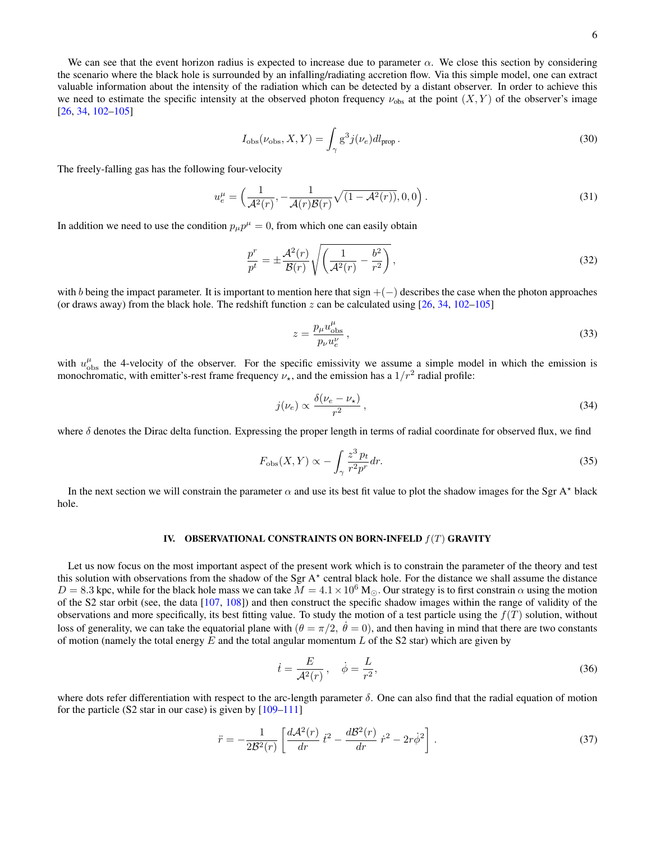$$
I_{\rm obs}(\nu_{\rm obs}, X, Y) = \int_{\gamma} g^3 j(\nu_e) dl_{\rm prop} \,. \tag{30}
$$

The freely-falling gas has the following four-velocity

$$
u_e^{\mu} = \left(\frac{1}{\mathcal{A}^2(r)}, -\frac{1}{\mathcal{A}(r)\mathcal{B}(r)}\sqrt{(1-\mathcal{A}^2(r))}, 0, 0\right).
$$
 (31)

In addition we need to use the condition  $p_\mu p^\mu = 0$ , from which one can easily obtain

$$
\frac{p^r}{p^t} = \pm \frac{\mathcal{A}^2(r)}{\mathcal{B}(r)} \sqrt{\left(\frac{1}{\mathcal{A}^2(r)} - \frac{b^2}{r^2}\right)},\tag{32}
$$

with b being the impact parameter. It is important to mention here that sign  $+(-)$  describes the case when the photon approaches (or draws away) from the black hole. The redshift function  $z$  can be calculated using [\[26,](#page-10-2) [34,](#page-10-13) [102–](#page-11-18)[105\]](#page-11-19)

$$
z = \frac{p_{\mu}u_{\text{obs}}^{\mu}}{p_{\nu}u_{e}^{\nu}},\tag{33}
$$

with  $u_{\text{obs}}^{\mu}$  the 4-velocity of the observer. For the specific emissivity we assume a simple model in which the emission is monochromatic, with emitter's-rest frame frequency  $\nu_{\star}$ , and the emission has a  $1/r^2$  radial profile:

$$
j(\nu_e) \propto \frac{\delta(\nu_e - \nu_\star)}{r^2},\tag{34}
$$

where  $\delta$  denotes the Dirac delta function. Expressing the proper length in terms of radial coordinate for observed flux, we find

$$
F_{\rm obs}(X, Y) \propto -\int_{\gamma} \frac{z^3 \, p_t}{r^2 p^r} dr.
$$
\n(35)

In the next section we will constrain the parameter  $\alpha$  and use its best fit value to plot the shadow images for the Sgr A\* black hole.

### <span id="page-5-0"></span>IV. OBSERVATIONAL CONSTRAINTS ON BORN-INFELD  $f(T)$  GRAVITY

Let us now focus on the most important aspect of the present work which is to constrain the parameter of the theory and test this solution with observations from the shadow of the Sgr A $\star$  central black hole. For the distance we shall assume the distance  $D = 8.3$  kpc, while for the black hole mass we can take  $\overline{M} = 4.1 \times 10^6$  M<sub>O</sub>. Our strategy is to first constrain  $\alpha$  using the motion of the S2 star orbit (see, the data [\[107,](#page-11-20) [108\]](#page-11-21)) and then construct the specific shadow images within the range of validity of the observations and more specifically, its best fitting value. To study the motion of a test particle using the  $f(T)$  solution, without loss of generality, we can take the equatorial plane with  $(\theta = \pi/2, \dot{\theta} = 0)$ , and then having in mind that there are two constants of motion (namely the total energy  $E$  and the total angular momentum  $L$  of the S2 star) which are given by

$$
\dot{t} = \frac{E}{\mathcal{A}^2(r)}, \quad \dot{\phi} = \frac{L}{r^2},\tag{36}
$$

where dots refer differentiation with respect to the arc-length parameter  $\delta$ . One can also find that the radial equation of motion for the particle (S2 star in our case) is given by  $[109-111]$  $[109-111]$ 

$$
\ddot{r} = -\frac{1}{2\mathcal{B}^2(r)} \left[ \frac{d\mathcal{A}^2(r)}{dr} \, \dot{t}^2 - \frac{d\mathcal{B}^2(r)}{dr} \, \dot{r}^2 - 2r\dot{\phi}^2 \right]. \tag{37}
$$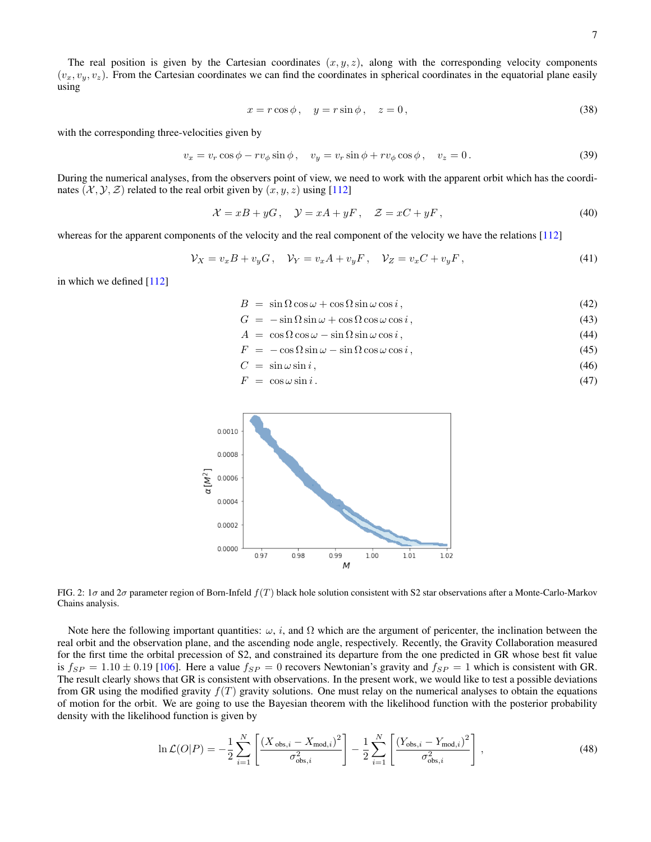$$
x = r\cos\phi, \quad y = r\sin\phi, \quad z = 0,
$$
\n(38)

with the corresponding three-velocities given by

$$
v_x = v_r \cos \phi - r v_\phi \sin \phi, \quad v_y = v_r \sin \phi + r v_\phi \cos \phi, \quad v_z = 0.
$$
\n(39)

During the numerical analyses, from the observers point of view, we need to work with the apparent orbit which has the coordinates  $(\mathcal{X}, \mathcal{Y}, \mathcal{Z})$  related to the real orbit given by  $(x, y, z)$  using [\[112\]](#page-11-24)

$$
\mathcal{X} = xB + yG, \quad \mathcal{Y} = xA + yF, \quad \mathcal{Z} = xC + yF,
$$
\n<sup>(40)</sup>

whereas for the apparent components of the velocity and the real component of the velocity we have the relations [\[112\]](#page-11-24)

$$
\mathcal{V}_X = v_x B + v_y G, \quad \mathcal{V}_Y = v_x A + v_y F, \quad \mathcal{V}_Z = v_x C + v_y F,
$$
\n
$$
(41)
$$

in which we defined [\[112\]](#page-11-24)

$$
B = \sin \Omega \cos \omega + \cos \Omega \sin \omega \cos i, \qquad (42)
$$

- $G = -\sin \Omega \sin \omega + \cos \Omega \cos \omega \cos i$ , (43)
- $A = \cos \Omega \cos \omega \sin \Omega \sin \omega \cos i,$  (44)
- $F = -\cos\Omega\sin\omega \sin\Omega\cos\omega\cos i,$  (45)

$$
C = \sin \omega \sin i, \tag{46}
$$

$$
F = \cos \omega \sin i. \tag{47}
$$



<span id="page-6-0"></span>FIG. 2:  $1\sigma$  and  $2\sigma$  parameter region of Born-Infeld  $f(T)$  black hole solution consistent with S2 star observations after a Monte-Carlo-Markov Chains analysis.

Note here the following important quantities:  $\omega$ , i, and  $\Omega$  which are the argument of pericenter, the inclination between the real orbit and the observation plane, and the ascending node angle, respectively. Recently, the Gravity Collaboration measured for the first time the orbital precession of S2, and constrained its departure from the one predicted in GR whose best fit value is  $f_{SP} = 1.10 \pm 0.19$  [\[106\]](#page-11-25). Here a value  $f_{SP} = 0$  recovers Newtonian's gravity and  $f_{SP} = 1$  which is consistent with GR. The result clearly shows that GR is consistent with observations. In the present work, we would like to test a possible deviations from GR using the modified gravity  $f(T)$  gravity solutions. One must relay on the numerical analyses to obtain the equations of motion for the orbit. We are going to use the Bayesian theorem with the likelihood function with the posterior probability density with the likelihood function is given by

$$
\ln \mathcal{L}(O|P) = -\frac{1}{2} \sum_{i=1}^{N} \left[ \frac{(X_{obs,i} - X_{mod,i})^2}{\sigma_{obs,i}^2} \right] - \frac{1}{2} \sum_{i=1}^{N} \left[ \frac{(Y_{obs,i} - Y_{mod,i})^2}{\sigma_{obs,i}^2} \right],
$$
(48)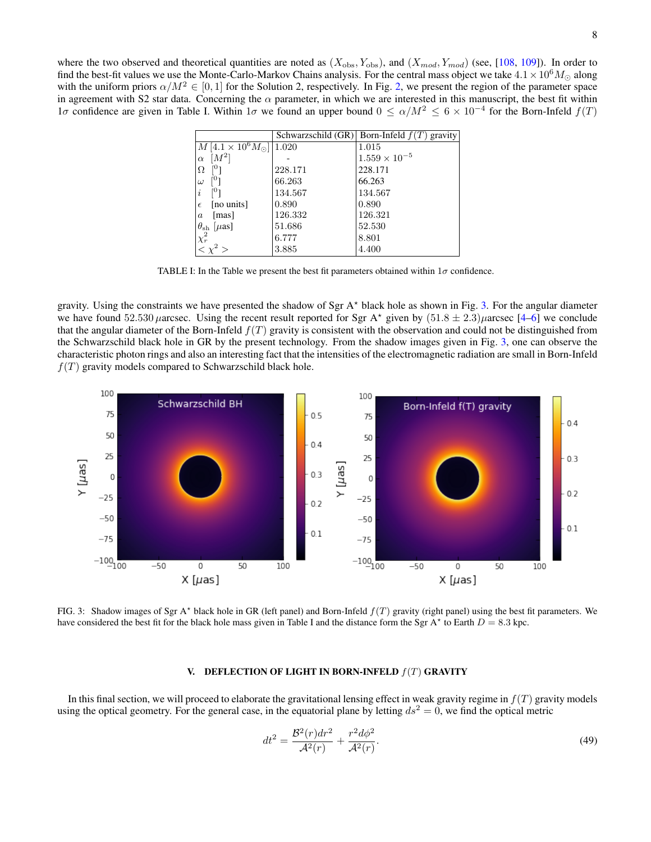|                                              |         | Schwarzschild (GR) Born-Infeld $f(T)$ gravity |
|----------------------------------------------|---------|-----------------------------------------------|
| $M\left[4.1\times10^6M_{\odot}\right]$ 1.020 |         | 1.015                                         |
| $[M^2]$<br>$\alpha$                          |         | $1.559 \times 10^{-5}$                        |
| rU 1<br>Ω                                    | 228.171 | 228.171                                       |
| ר0<br>$\omega$                               | 66.263  | 66.263                                        |
| 101<br>$\dot{i}$                             | 134.567 | 134.567                                       |
| [no units]<br>$\epsilon$                     | 0.890   | 0.890                                         |
| [mas]<br>$\boldsymbol{a}$                    | 126.332 | 126.321                                       |
| $\theta_{\rm sh}$ [ $\mu$ as]                | 51.686  | 52.530                                        |
| $\chi^2_r$                                   | 6.777   | 8.801                                         |
|                                              | 3.885   | 4.400                                         |

TABLE I: In the Table we present the best fit parameters obtained within  $1\sigma$  confidence.

gravity. Using the constraints we have presented the shadow of Sgr A<sup>\*</sup> black hole as shown in Fig. [3.](#page-7-1) For the angular diameter we have found 52.530  $\mu$ arcsec. Using the recent result reported for Sgr A\* given by  $(51.8 \pm 2.3)\mu$ arcsec [\[4–](#page-9-3)[6\]](#page-9-1) we conclude that the angular diameter of the Born-Infeld  $f(T)$  gravity is consistent with the observation and could not be distinguished from the Schwarzschild black hole in GR by the present technology. From the shadow images given in Fig. [3,](#page-7-1) one can observe the characteristic photon rings and also an interesting fact that the intensities of the electromagnetic radiation are small in Born-Infeld  $f(T)$  gravity models compared to Schwarzschild black hole.



<span id="page-7-1"></span>FIG. 3: Shadow images of Sgr A\* black hole in GR (left panel) and Born-Infeld  $f(T)$  gravity (right panel) using the best fit parameters. We have considered the best fit for the black hole mass given in Table I and the distance form the Sgr A<sup>\*</sup> to Earth  $D = 8.3$  kpc.

## <span id="page-7-0"></span>V. DEFLECTION OF LIGHT IN BORN-INFELD  $f(T)$  GRAVITY

In this final section, we will proceed to elaborate the gravitational lensing effect in weak gravity regime in  $f(T)$  gravity models using the optical geometry. For the general case, in the equatorial plane by letting  $ds^2 = 0$ , we find the optical metric

$$
dt^{2} = \frac{\mathcal{B}^{2}(r)dr^{2}}{\mathcal{A}^{2}(r)} + \frac{r^{2}d\phi^{2}}{\mathcal{A}^{2}(r)}.
$$
\n(49)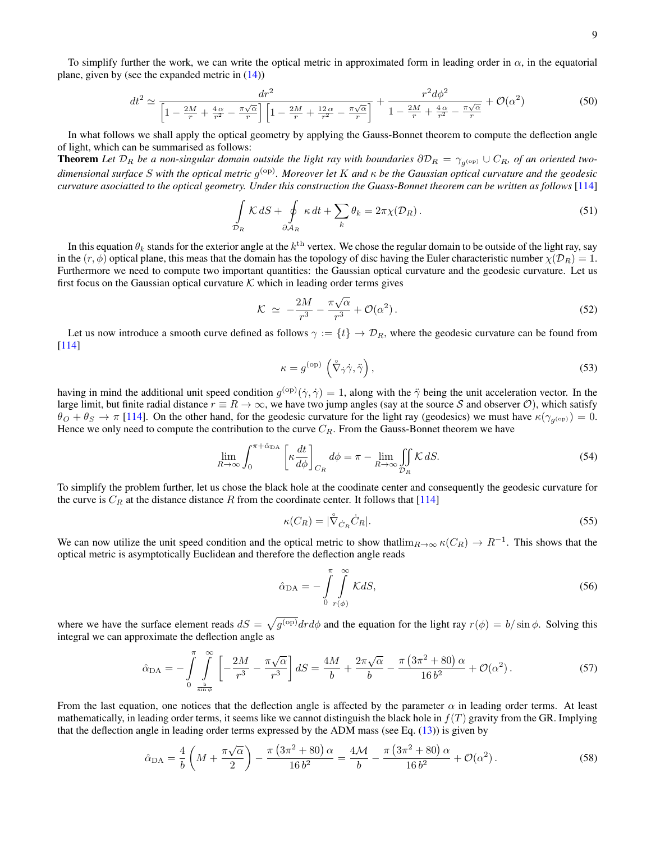To simplify further the work, we can write the optical metric in approximated form in leading order in  $\alpha$ , in the equatorial plane, given by (see the expanded metric in [\(14\)](#page-3-3))

$$
dt^2 \simeq \frac{dr^2}{\left[1 - \frac{2M}{r} + \frac{4\alpha}{r^2} - \frac{\pi\sqrt{\alpha}}{r}\right] \left[1 - \frac{2M}{r} + \frac{12\alpha}{r^2} - \frac{\pi\sqrt{\alpha}}{r}\right]} + \frac{r^2 d\phi^2}{1 - \frac{2M}{r} + \frac{4\alpha}{r^2} - \frac{\pi\sqrt{\alpha}}{r}} + \mathcal{O}(\alpha^2)
$$
(50)

In what follows we shall apply the optical geometry by applying the Gauss-Bonnet theorem to compute the deflection angle of light, which can be summarised as follows:

**Theorem** Let  $\mathcal{D}_R$  be a non-singular domain outside the light ray with boundaries  $\partial\mathcal{D}_R = \gamma_{g^{(op)}} \cup C_R$ , of an oriented twodimensional surface S with the optical metric g<sup>(op)</sup>. Moreover let K and κ be the Gaussian optical curvature and the geodesic *curvature asociatted to the optical geometry. Under this construction the Guass-Bonnet theorem can be written as follows* [\[114\]](#page-11-26)

$$
\int_{\mathcal{D}_R} \mathcal{K} \, dS + \oint_{\partial \mathcal{A}_R} \kappa \, dt + \sum_k \theta_k = 2\pi \chi(\mathcal{D}_R). \tag{51}
$$

In this equation  $\theta_k$  stands for the exterior angle at the  $k^\text{th}$  vertex. We chose the regular domain to be outside of the light ray, say in the  $(r, \phi)$  optical plane, this meas that the domain has the topology of disc having the Euler characteristic number  $\chi(\mathcal{D}_R) = 1$ . Furthermore we need to compute two important quantities: the Gaussian optical curvature and the geodesic curvature. Let us first focus on the Gaussian optical curvature K which in leading order terms gives

$$
\mathcal{K} \simeq -\frac{2M}{r^3} - \frac{\pi\sqrt{\alpha}}{r^3} + \mathcal{O}(\alpha^2). \tag{52}
$$

Let us now introduce a smooth curve defined as follows  $\gamma := \{t\} \to \mathcal{D}_R$ , where the geodesic curvature can be found from [\[114\]](#page-11-26)

$$
\kappa = g^{(\text{op})} \left( \overset{\circ}{\nabla}_{\dot{\gamma}} \dot{\gamma}, \ddot{\gamma} \right), \tag{53}
$$

having in mind the additional unit speed condition  $g^{(op)}(\dot{\gamma}, \dot{\gamma}) = 1$ , along with the  $\ddot{\gamma}$  being the unit acceleration vector. In the large limit, but finite radial distance  $r \equiv R \to \infty$ , we have two jump angles (say at the source S and observer O), which satisfy  $\theta_O + \theta_S \to \pi$  [\[114\]](#page-11-26). On the other hand, for the geodesic curvature for the light ray (geodesics) we must have  $\kappa(\gamma_{g^{(op)}}) = 0$ . Hence we only need to compute the contribution to the curve  $C_R$ . From the Gauss-Bonnet theorem we have

$$
\lim_{R \to \infty} \int_0^{\pi + \hat{\alpha}_{\text{DA}}} \left[ \kappa \frac{dt}{d\phi} \right]_{C_R} d\phi = \pi - \lim_{R \to \infty} \iint_{\mathcal{D}_R} \mathcal{K} \, dS. \tag{54}
$$

To simplify the problem further, let us chose the black hole at the coodinate center and consequently the geodesic curvature for the curve is  $C_R$  at the distance distance R from the coordinate center. It follows that [\[114\]](#page-11-26)

$$
\kappa(C_R) = |\overset{\circ}{\nabla}_{\dot{C}_R} \dot{C}_R|.
$$
\n(55)

We can now utilize the unit speed condition and the optical metric to show that  $\lim_{R\to\infty} \kappa(C_R) \to R^{-1}$ . This shows that the optical metric is asymptotically Euclidean and therefore the deflection angle reads

$$
\hat{\alpha}_{\text{DA}} = -\int_{0}^{\pi} \int_{r(\phi)}^{\infty} K dS, \tag{56}
$$

where we have the surface element reads  $dS = \sqrt{g^{(op)}} dr d\phi$  and the equation for the light ray  $r(\phi) = b/\sin \phi$ . Solving this integral we can approximate the deflection angle as

$$
\hat{\alpha}_{\text{DA}} = -\int_{0}^{\pi} \int_{\frac{b}{\sin \phi}}^{\infty} \left[ -\frac{2M}{r^3} - \frac{\pi \sqrt{\alpha}}{r^3} \right] dS = \frac{4M}{b} + \frac{2\pi \sqrt{\alpha}}{b} - \frac{\pi (3\pi^2 + 80) \alpha}{16 b^2} + \mathcal{O}(\alpha^2). \tag{57}
$$

From the last equation, one notices that the deflection angle is affected by the parameter  $\alpha$  in leading order terms. At least mathematically, in leading order terms, it seems like we cannot distinguish the black hole in  $f(T)$  gravity from the GR. Implying that the deflection angle in leading order terms expressed by the ADM mass (see Eq.  $(13)$ ) is given by

$$
\hat{\alpha}_{\text{DA}} = \frac{4}{b} \left( M + \frac{\pi \sqrt{\alpha}}{2} \right) - \frac{\pi \left( 3\pi^2 + 80 \right) \alpha}{16 \, b^2} = \frac{4\mathcal{M}}{b} - \frac{\pi \left( 3\pi^2 + 80 \right) \alpha}{16 \, b^2} + \mathcal{O}(\alpha^2) \,. \tag{58}
$$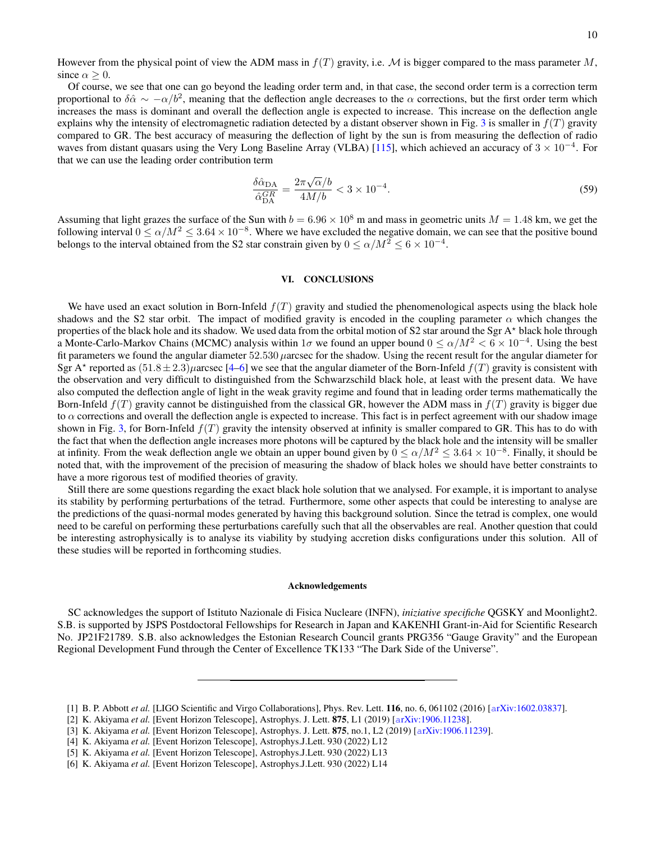However from the physical point of view the ADM mass in  $f(T)$  gravity, i.e. M is bigger compared to the mass parameter M, since  $\alpha \geq 0$ .

Of course, we see that one can go beyond the leading order term and, in that case, the second order term is a correction term proportional to  $\delta \hat{\alpha} \sim -\alpha/b^2$ , meaning that the deflection angle decreases to the  $\alpha$  corrections, but the first order term which increases the mass is dominant and overall the deflection angle is expected to increase. This increase on the deflection angle explains why the intensity of electromagnetic radiation detected by a distant observer shown in Fig. [3](#page-7-1) is smaller in  $f(T)$  gravity compared to GR. The best accuracy of measuring the deflection of light by the sun is from measuring the deflection of radio waves from distant quasars using the Very Long Baseline Array (VLBA) [\[115\]](#page-11-27), which achieved an accuracy of  $3 \times 10^{-4}$ . For that we can use the leading order contribution term

$$
\frac{\delta \hat{\alpha}_{\text{DA}}}{\hat{\alpha}_{\text{DA}}^{GR}} = \frac{2\pi\sqrt{\alpha}/b}{4M/b} < 3 \times 10^{-4}.\tag{59}
$$

Assuming that light grazes the surface of the Sun with  $b = 6.96 \times 10^8$  m and mass in geometric units  $M = 1.48$  km, we get the following interval  $0 \le \alpha/M^2 \le 3.64 \times 10^{-8}$ . Where we have excluded the negative domain, we can see that the positive bound belongs to the interval obtained from the S2 star constrain given by  $0 \le \alpha/M^2 \le 6 \times 10^{-4}$ .

#### <span id="page-9-2"></span>VI. CONCLUSIONS

We have used an exact solution in Born-Infeld  $f(T)$  gravity and studied the phenomenological aspects using the black hole shadows and the S2 star orbit. The impact of modified gravity is encoded in the coupling parameter  $\alpha$  which changes the properties of the black hole and its shadow. We used data from the orbital motion of S2 star around the Sgr A\* black hole through a Monte-Carlo-Markov Chains (MCMC) analysis within  $1\sigma$  we found an upper bound  $0 \le \alpha/M^2 < 6 \times 10^{-4}$ . Using the best fit parameters we found the angular diameter  $52.530 \mu$ arcsec for the shadow. Using the recent result for the angular diameter for Sgr A<sup>\*</sup> reported as  $(51.8 \pm 2.3)\mu$ arcsec [\[4](#page-9-3)[–6\]](#page-9-1) we see that the angular diameter of the Born-Infeld  $f(T)$  gravity is consistent with the observation and very difficult to distinguished from the Schwarzschild black hole, at least with the present data. We have also computed the deflection angle of light in the weak gravity regime and found that in leading order terms mathematically the Born-Infeld  $f(T)$  gravity cannot be distinguished from the classical GR, however the ADM mass in  $f(T)$  gravity is bigger due to  $\alpha$  corrections and overall the deflection angle is expected to increase. This fact is in perfect agreement with our shadow image shown in Fig. [3,](#page-7-1) for Born-Infeld  $f(T)$  gravity the intensity observed at infinity is smaller compared to GR. This has to do with the fact that when the deflection angle increases more photons will be captured by the black hole and the intensity will be smaller at infinity. From the weak deflection angle we obtain an upper bound given by  $0 \le \alpha/M^2 \le 3.64 \times 10^{-8}$ . Finally, it should be noted that, with the improvement of the precision of measuring the shadow of black holes we should have better constraints to have a more rigorous test of modified theories of gravity.

Still there are some questions regarding the exact black hole solution that we analysed. For example, it is important to analyse its stability by performing perturbations of the tetrad. Furthermore, some other aspects that could be interesting to analyse are the predictions of the quasi-normal modes generated by having this background solution. Since the tetrad is complex, one would need to be careful on performing these perturbations carefully such that all the observables are real. Another question that could be interesting astrophysically is to analyse its viability by studying accretion disks configurations under this solution. All of these studies will be reported in forthcoming studies.

#### Acknowledgements

SC acknowledges the support of Istituto Nazionale di Fisica Nucleare (INFN), *iniziative specifiche* QGSKY and Moonlight2. S.B. is supported by JSPS Postdoctoral Fellowships for Research in Japan and KAKENHI Grant-in-Aid for Scientific Research No. JP21F21789. S.B. also acknowledges the Estonian Research Council grants PRG356 "Gauge Gravity" and the European Regional Development Fund through the Center of Excellence TK133 "The Dark Side of the Universe".

<span id="page-9-0"></span><sup>[1]</sup> B. P. Abbott *et al.* [LIGO Scientific and Virgo Collaborations], Phys. Rev. Lett. 116, no. 6, 061102 (2016) [a[rXiv:1602.03837\]](http://xxx.lanl.gov/abs/1602.03837).

<sup>[2]</sup> K. Akiyama *et al.* [Event Horizon Telescope], Astrophys. J. Lett. 875, L1 (2019) [a[rXiv:1906.11238\]](http://xxx.lanl.gov/abs/1906.11238).

<sup>[3]</sup> K. Akiyama *et al.* [Event Horizon Telescope], Astrophys. J. Lett. 875, no.1, L2 (2019) [a[rXiv:1906.11239\]](http://xxx.lanl.gov/abs/1906.11239).

<span id="page-9-3"></span><sup>[4]</sup> K. Akiyama *et al.* [Event Horizon Telescope], Astrophys.J.Lett. 930 (2022) L12

<sup>[5]</sup> K. Akiyama *et al.* [Event Horizon Telescope], Astrophys.J.Lett. 930 (2022) L13

<span id="page-9-1"></span><sup>[6]</sup> K. Akiyama *et al.* [Event Horizon Telescope], Astrophys.J.Lett. 930 (2022) L14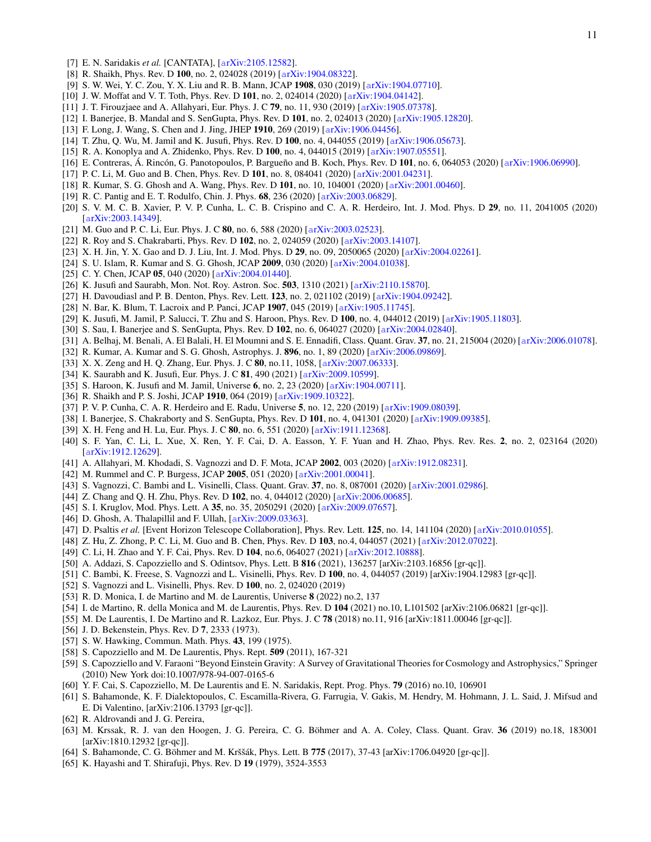- <span id="page-10-0"></span>[7] E. N. Saridakis *et al.* [CANTATA], [a[rXiv:2105.12582\]](http://xxx.lanl.gov/abs/2105.12582).
- <span id="page-10-1"></span>[8] R. Shaikh, Phys. Rev. D 100, no. 2, 024028 (2019) [a[rXiv:1904.08322\]](https://arxiv.org/abs/1904.08322).
- [9] S. W. Wei, Y. C. Zou, Y. X. Liu and R. B. Mann, JCAP 1908, 030 (2019) [a[rXiv:1904.07710\]](https://arxiv.org/abs/1904.07710).
- [10] J. W. Moffat and V. T. Toth, Phys. Rev. D 101, no. 2, 024014 (2020) [a[rXiv:1904.04142\]](https://arxiv.org/abs/1904.04142).
- [11] J. T. Firouzjaee and A. Allahyari, Eur. Phys. J. C 79, no. 11, 930 (2019) [a[rXiv:1905.07378\]](https://arxiv.org/abs/1905.07378).
- [12] I. Banerjee, B. Mandal and S. SenGupta, Phys. Rev. D 101, no. 2, 024013 (2020) [a[rXiv:1905.12820\]](https://arxiv.org/abs/1905.12820).
- [13] F. Long, J. Wang, S. Chen and J. Jing, JHEP 1910, 269 (2019) [a[rXiv:1906.04456\]](https://arxiv.org/abs/1906.04456).
- [14] T. Zhu, Q. Wu, M. Jamil and K. Jusufi, Phys. Rev. D 100, no. 4, 044055 (2019) [a[rXiv:1906.05673\]](https://arxiv.org/abs/1906.05673).
- [15] R. A. Konoplya and A. Zhidenko, Phys. Rev. D 100, no. 4, 044015 (2019) [a[rXiv:1907.05551\]](https://arxiv.org/abs/1907.05551).
- [16] E. Contreras, Á. Rincón, G. Panotopoulos, P. Bargueño and B. Koch, Phys. Rev. D 101, no. 6, 064053 (2020) [a[rXiv:1906.06990\]](https://arxiv.org/abs/1906.06990).
- [17] P. C. Li, M. Guo and B. Chen, Phys. Rev. D 101, no. 8, 084041 (2020) [a[rXiv:2001.04231\]](https://arxiv.org/abs/2001.04231).
- [18] R. Kumar, S. G. Ghosh and A. Wang, Phys. Rev. D 101, no. 10, 104001 (2020) [a[rXiv:2001.00460\]](https://arxiv.org/abs/2001.00460).
- [19] R. C. Pantig and E. T. Rodulfo, Chin. J. Phys. 68, 236 (2020) [a[rXiv:2003.06829\]](https://arxiv.org/abs/2003.06829).
- [20] S. V. M. C. B. Xavier, P. V. P. Cunha, L. C. B. Crispino and C. A. R. Herdeiro, Int. J. Mod. Phys. D 29, no. 11, 2041005 (2020) [a[rXiv:2003.14349\]](https://arxiv.org/abs/2003.14349).
- [21] M. Guo and P. C. Li, Eur. Phys. J. C **80**, no. 6, 588 (2020) [a[rXiv:2003.02523\]](https://arxiv.org/abs/2003.02523).
- [22] R. Roy and S. Chakrabarti, Phys. Rev. D 102, no. 2, 024059 (2020) [a[rXiv:2003.14107\]](https://arxiv.org/abs/2003.14107).
- [23] X. H. Jin, Y. X. Gao and D. J. Liu, Int. J. Mod. Phys. D 29, no. 09, 2050065 (2020) [a[rXiv:2004.02261\]](https://arxiv.org/abs/2004.02261).
- [24] S. U. Islam, R. Kumar and S. G. Ghosh, JCAP 2009, 030 (2020) [a[rXiv:2004.01038\]](https://arxiv.org/abs/2004.01038).
- [25] C. Y. Chen, JCAP 05, 040 (2020) [a[rXiv:2004.01440\]](https://arxiv.org/abs/2004.01440).
- <span id="page-10-2"></span>[26] K. Jusufi and Saurabh, Mon. Not. Roy. Astron. Soc. 503, 1310 (2021) [a[rXiv:2110.15870\]](https://arxiv.org/abs/2110.15870).
- <span id="page-10-3"></span>[27] H. Davoudiasl and P. B. Denton, Phys. Rev. Lett. 123, no. 2, 021102 (2019) [a[rXiv:1904.09242\]](https://arxiv.org/abs/1904.09242).
- [28] N. Bar, K. Blum, T. Lacroix and P. Panci, JCAP 1907, 045 (2019) [a[rXiv:1905.11745\]](https://arxiv.org/abs/1905.11745).
- [29] K. Jusufi, M. Jamil, P. Salucci, T. Zhu and S. Haroon, Phys. Rev. D 100, no. 4, 044012 (2019) [a[rXiv:1905.11803\]](https://arxiv.org/abs/1905.11803).
- [30] S. Sau, I. Banerjee and S. SenGupta, Phys. Rev. D 102, no. 6, 064027 (2020) [a[rXiv:2004.02840\]](https://arxiv.org/abs/2004.02840).
- [31] A. Belhaj, M. Benali, A. El Balali, H. El Moumni and S. E. Ennadifi, Class. Quant. Grav. 37, no. 21, 215004 (2020) [a[rXiv:2006.01078\]](https://arxiv.org/abs/2006.01078).
- [32] R. Kumar, A. Kumar and S. G. Ghosh, Astrophys. J. 896, no. 1, 89 (2020) [a[rXiv:2006.09869\]](https://arxiv.org/abs/2006.09869).
- [33] X. X. Zeng and H. Q. Zhang, Eur. Phys. J. C 80, no.11, 1058, [a[rXiv:2007.06333\]](https://arxiv.org/abs/2007.06333).
- <span id="page-10-13"></span>[34] K. Saurabh and K. Jusufi, Eur. Phys. J. C 81, 490 (2021) [a[rXiv:2009.10599\]](https://arxiv.org/abs/2009.10599).
- [35] S. Haroon, K. Jusufi and M. Jamil, Universe 6, no. 2, 23 (2020) [a[rXiv:1904.00711\]](https://arxiv.org/abs/1904.00711).
- [36] R. Shaikh and P. S. Joshi, JCAP 1910, 064 (2019) [a[rXiv:1909.10322\]](https://arxiv.org/abs/1909.10322).
- [37] P. V. P. Cunha, C. A. R. Herdeiro and E. Radu, Universe 5, no. 12, 220 (2019) [a[rXiv:1909.08039\]](https://arxiv.org/abs/1909.08039).
- [38] I. Banerjee, S. Chakraborty and S. SenGupta, Phys. Rev. D 101, no. 4, 041301 (2020) [a[rXiv:1909.09385\]](https://arxiv.org/abs/1909.09385).
- [39] X. H. Feng and H. Lu, Eur. Phys. J. C 80, no. 6, 551 (2020) [a[rXiv:1911.12368\]](https://arxiv.org/abs/1911.12368).
- [40] S. F. Yan, C. Li, L. Xue, X. Ren, Y. F. Cai, D. A. Easson, Y. F. Yuan and H. Zhao, Phys. Rev. Res. 2, no. 2, 023164 (2020) [a[rXiv:1912.12629\]](https://arxiv.org/abs/1912.12629).
- [41] A. Allahyari, M. Khodadi, S. Vagnozzi and D. F. Mota, JCAP 2002, 003 (2020) [a[rXiv:1912.08231\]](https://arxiv.org/abs/1912.08231).
- [42] M. Rummel and C. P. Burgess, JCAP 2005, 051 (2020) [arXiv: 2001.00041].
- [43] S. Vagnozzi, C. Bambi and L. Visinelli, Class. Quant. Grav. 37, no. 8, 087001 (2020) [a[rXiv:2001.02986\]](https://arxiv.org/abs/2001.02986).
- [44] Z. Chang and Q. H. Zhu, Phys. Rev. D 102, no. 4, 044012 (2020) [a[rXiv:2006.00685\]](https://arxiv.org/abs/2006.00685).
- [45] S. I. Kruglov, Mod. Phys. Lett. A 35, no. 35, 2050291 (2020) [a[rXiv:2009.07657\]](https://arxiv.org/abs/2009.07657).
- [46] D. Ghosh, A. Thalapillil and F. Ullah, [a[rXiv:2009.03363\]](https://arxiv.org/abs/2009.03363).
- [47] D. Psaltis *et al.* [Event Horizon Telescope Collaboration], Phys. Rev. Lett. 125, no. 14, 141104 (2020) [a[rXiv:2010.01055\]](https://arxiv.org/abs/2010.01055).
- [48] Z. Hu, Z. Zhong, P. C. Li, M. Guo and B. Chen, Phys. Rev. D 103, no.4, 044057 (2021) [a[rXiv:2012.07022\]](https://arxiv.org/abs/2012.07022).
- [49] C. Li, H. Zhao and Y. F. Cai, Phys. Rev. D 104, no.6, 064027 (2021) [a[rXiv:2012.10888\]](https://arxiv.org/abs/2012.10888).
- [50] A. Addazi, S. Capozziello and S. Odintsov, Phys. Lett. B 816 (2021), 136257 [arXiv:2103.16856 [gr-qc]].
- [51] C. Bambi, K. Freese, S. Vagnozzi and L. Visinelli, Phys. Rev. D 100, no. 4, 044057 (2019) [arXiv:1904.12983 [gr-qc]].
- [52] S. Vagnozzi and L. Visinelli, Phys. Rev. D 100, no. 2, 024020 (2019)
- [53] R. D. Monica, I. de Martino and M. de Laurentis, Universe 8 (2022) no.2, 137
- [54] I. de Martino, R. della Monica and M. de Laurentis, Phys. Rev. D 104 (2021) no.10, L101502 [arXiv:2106.06821 [gr-qc]].
- <span id="page-10-4"></span>[55] M. De Laurentis, I. De Martino and R. Lazkoz, Eur. Phys. J. C 78 (2018) no.11, 916 [arXiv:1811.00046 [gr-qc]].
- [56] J. D. Bekenstein, Phys. Rev. D 7, 2333 (1973).
- [57] S. W. Hawking, Commun. Math. Phys. 43, 199 (1975).
- <span id="page-10-5"></span>[58] S. Capozziello and M. De Laurentis, Phys. Rept. 509 (2011), 167-321
- <span id="page-10-6"></span>[59] S. Capozziello and V. Faraoni "Beyond Einstein Gravity: A Survey of Gravitational Theories for Cosmology and Astrophysics," Springer (2010) New York doi:10.1007/978-94-007-0165-6
- <span id="page-10-7"></span>[60] Y. F. Cai, S. Capozziello, M. De Laurentis and E. N. Saridakis, Rept. Prog. Phys. 79 (2016) no.10, 106901
- <span id="page-10-10"></span>[61] S. Bahamonde, K. F. Dialektopoulos, C. Escamilla-Rivera, G. Farrugia, V. Gakis, M. Hendry, M. Hohmann, J. L. Said, J. Mifsud and E. Di Valentino, [arXiv:2106.13793 [gr-qc]].
- <span id="page-10-9"></span>[62] R. Aldrovandi and J. G. Pereira,
- <span id="page-10-8"></span>[63] M. Krssak, R. J. van den Hoogen, J. G. Pereira, C. G. Böhmer and A. A. Coley, Class. Quant. Grav. 36 (2019) no.18, 183001 [arXiv:1810.12932 [gr-qc]].
- <span id="page-10-11"></span>[64] S. Bahamonde, C. G. Böhmer and M. Krššák, Phys. Lett. B 775 (2017), 37-43 [arXiv:1706.04920 [gr-qc]].
- <span id="page-10-12"></span>[65] K. Hayashi and T. Shirafuji, Phys. Rev. D 19 (1979), 3524-3553